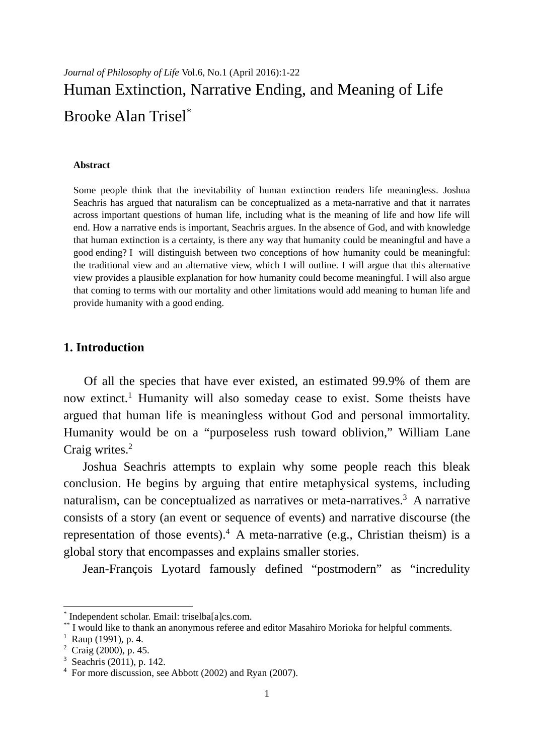# *Journal of Philosophy of Life* Vol.6, No.1 (April 2016):1-22 Human Extinction, Narrative Ending, and Meaning of Life Brooke Alan Trisel\*

#### **Abstract**

Some people think that the inevitability of human extinction renders life meaningless. Joshua Seachris has argued that naturalism can be conceptualized as a meta-narrative and that it narrates across important questions of human life, including what is the meaning of life and how life will end. How a narrative ends is important, Seachris argues. In the absence of God, and with knowledge that human extinction is a certainty, is there any way that humanity could be meaningful and have a good ending? I will distinguish between two conceptions of how humanity could be meaningful: the traditional view and an alternative view, which I will outline. I will argue that this alternative view provides a plausible explanation for how humanity could become meaningful. I will also argue that coming to terms with our mortality and other limitations would add meaning to human life and provide humanity with a good ending.

## **1. Introduction**

Of all the species that have ever existed, an estimated 99.9% of them are now extinct.<sup>1</sup> Humanity will also someday cease to exist. Some theists have argued that human life is meaningless without God and personal immortality. Humanity would be on a "purposeless rush toward oblivion," William Lane Craig writes.<sup>2</sup>

Joshua Seachris attempts to explain why some people reach this bleak conclusion. He begins by arguing that entire metaphysical systems, including naturalism, can be conceptualized as narratives or meta-narratives.<sup>3</sup> A narrative consists of a story (an event or sequence of events) and narrative discourse (the representation of those events).<sup>4</sup> A meta-narrative (e.g., Christian theism) is a global story that encompasses and explains smaller stories.

Jean-François Lyotard famously defined "postmodern" as "incredulity

<sup>\*</sup> Independent scholar. Email: triselba[a]cs.com.

<sup>\*\*</sup> I would like to thank an anonymous referee and editor Masahiro Morioka for helpful comments.

<sup>&</sup>lt;sup>1</sup> Raup (1991), p. 4.

<sup>2</sup> Craig (2000), p. 45.

<sup>3</sup> Seachris (2011), p. 142.

<sup>&</sup>lt;sup>4</sup> For more discussion, see Abbott (2002) and Ryan (2007).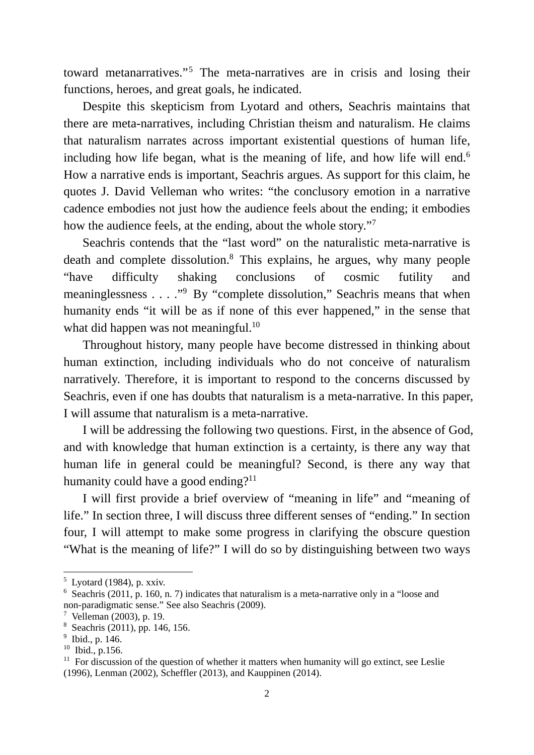toward metanarratives."5 The meta-narratives are in crisis and losing their functions, heroes, and great goals, he indicated.

Despite this skepticism from Lyotard and others, Seachris maintains that there are meta-narratives, including Christian theism and naturalism. He claims that naturalism narrates across important existential questions of human life, including how life began, what is the meaning of life, and how life will end.<sup>6</sup> How a narrative ends is important, Seachris argues. As support for this claim, he quotes J. David Velleman who writes: "the conclusory emotion in a narrative cadence embodies not just how the audience feels about the ending; it embodies how the audience feels, at the ending, about the whole story."7

Seachris contends that the "last word" on the naturalistic meta-narrative is death and complete dissolution.<sup>8</sup> This explains, he argues, why many people "have difficulty shaking conclusions of cosmic futility and meaninglessness . . . . "<sup>9</sup> By "complete dissolution," Seachris means that when humanity ends "it will be as if none of this ever happened," in the sense that what did happen was not meaningful.<sup>10</sup>

Throughout history, many people have become distressed in thinking about human extinction, including individuals who do not conceive of naturalism narratively. Therefore, it is important to respond to the concerns discussed by Seachris, even if one has doubts that naturalism is a meta-narrative. In this paper, I will assume that naturalism is a meta-narrative.

I will be addressing the following two questions. First, in the absence of God, and with knowledge that human extinction is a certainty, is there any way that human life in general could be meaningful? Second, is there any way that humanity could have a good ending?<sup>11</sup>

I will first provide a brief overview of "meaning in life" and "meaning of life." In section three, I will discuss three different senses of "ending." In section four, I will attempt to make some progress in clarifying the obscure question "What is the meaning of life?" I will do so by distinguishing between two ways

-

 $<sup>5</sup>$  Lyotard (1984), p. xxiv.</sup>

<sup>&</sup>lt;sup>6</sup> Seachris (2011, p. 160, n. 7) indicates that naturalism is a meta-narrative only in a "loose and non-paradigmatic sense." See also Seachris (2009).

<sup>7</sup> Velleman (2003), p. 19.

<sup>8</sup> Seachris (2011), pp. 146, 156.

 $9$  Ibid., p. 146.

 $10$  Ibid., p.156.

 $11$  For discussion of the question of whether it matters when humanity will go extinct, see Leslie (1996), Lenman (2002), Scheffler (2013), and Kauppinen (2014).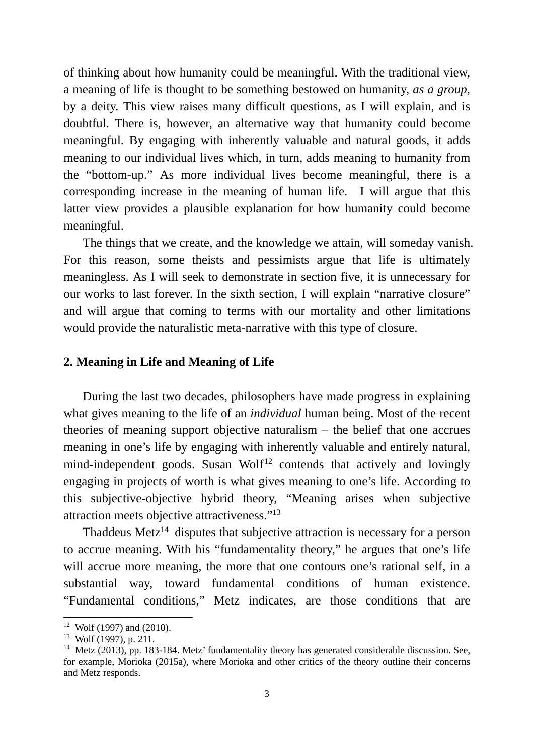of thinking about how humanity could be meaningful. With the traditional view, a meaning of life is thought to be something bestowed on humanity, *as a group,*  by a deity. This view raises many difficult questions, as I will explain, and is doubtful. There is, however, an alternative way that humanity could become meaningful. By engaging with inherently valuable and natural goods, it adds meaning to our individual lives which, in turn, adds meaning to humanity from the "bottom-up." As more individual lives become meaningful, there is a corresponding increase in the meaning of human life. I will argue that this latter view provides a plausible explanation for how humanity could become meaningful.

The things that we create, and the knowledge we attain, will someday vanish. For this reason, some theists and pessimists argue that life is ultimately meaningless. As I will seek to demonstrate in section five, it is unnecessary for our works to last forever. In the sixth section, I will explain "narrative closure" and will argue that coming to terms with our mortality and other limitations would provide the naturalistic meta-narrative with this type of closure.

### **2. Meaning in Life and Meaning of Life**

During the last two decades, philosophers have made progress in explaining what gives meaning to the life of an *individual* human being. Most of the recent theories of meaning support objective naturalism – the belief that one accrues meaning in one's life by engaging with inherently valuable and entirely natural,  $mind-independent$  goods. Susan Wolf<sup>12</sup> contends that actively and lovingly engaging in projects of worth is what gives meaning to one's life. According to this subjective-objective hybrid theory, "Meaning arises when subjective attraction meets objective attractiveness."13

Thaddeus Metz<sup>14</sup> disputes that subjective attraction is necessary for a person to accrue meaning. With his "fundamentality theory," he argues that one's life will accrue more meaning, the more that one contours one's rational self, in a substantial way, toward fundamental conditions of human existence. "Fundamental conditions," Metz indicates, are those conditions that are

-

 $12$  Wolf (1997) and (2010).

 $13$  Wolf (1997), p. 211.

<sup>&</sup>lt;sup>14</sup> Metz (2013), pp. 183-184. Metz' fundamentality theory has generated considerable discussion. See, for example, Morioka (2015a), where Morioka and other critics of the theory outline their concerns and Metz responds.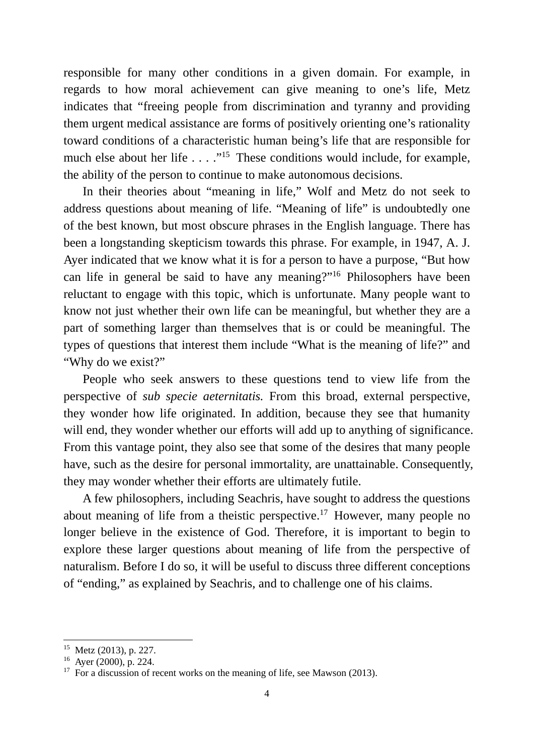responsible for many other conditions in a given domain. For example, in regards to how moral achievement can give meaning to one's life, Metz indicates that "freeing people from discrimination and tyranny and providing them urgent medical assistance are forms of positively orienting one's rationality toward conditions of a characteristic human being's life that are responsible for much else about her life . . . ."<sup>15</sup> These conditions would include, for example, the ability of the person to continue to make autonomous decisions.

In their theories about "meaning in life," Wolf and Metz do not seek to address questions about meaning of life. "Meaning of life" is undoubtedly one of the best known, but most obscure phrases in the English language. There has been a longstanding skepticism towards this phrase. For example, in 1947, A. J. Ayer indicated that we know what it is for a person to have a purpose, "But how can life in general be said to have any meaning?"16 Philosophers have been reluctant to engage with this topic, which is unfortunate. Many people want to know not just whether their own life can be meaningful, but whether they are a part of something larger than themselves that is or could be meaningful. The types of questions that interest them include "What is the meaning of life?" and "Why do we exist?"

People who seek answers to these questions tend to view life from the perspective of *sub specie aeternitatis.* From this broad, external perspective, they wonder how life originated. In addition, because they see that humanity will end, they wonder whether our efforts will add up to anything of significance. From this vantage point, they also see that some of the desires that many people have, such as the desire for personal immortality, are unattainable. Consequently, they may wonder whether their efforts are ultimately futile.

A few philosophers, including Seachris, have sought to address the questions about meaning of life from a theistic perspective.<sup>17</sup> However, many people no longer believe in the existence of God. Therefore, it is important to begin to explore these larger questions about meaning of life from the perspective of naturalism. Before I do so, it will be useful to discuss three different conceptions of "ending," as explained by Seachris, and to challenge one of his claims.

<sup>15</sup> Metz (2013), p. 227.

<sup>&</sup>lt;sup>16</sup> Ayer (2000), p. 224.

<sup>&</sup>lt;sup>17</sup> For a discussion of recent works on the meaning of life, see Mawson (2013).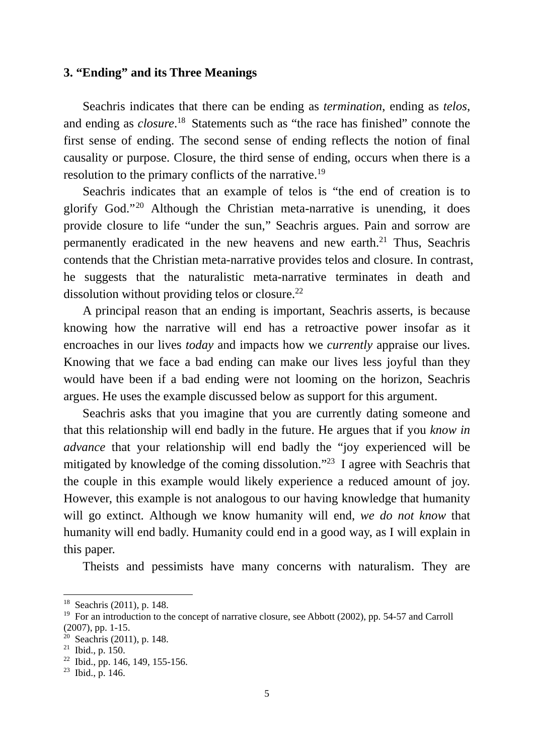## **3. "Ending" and its Three Meanings**

Seachris indicates that there can be ending as *termination*, ending as *telos*, and ending as *closure*. 18 Statements such as "the race has finished" connote the first sense of ending. The second sense of ending reflects the notion of final causality or purpose. Closure, the third sense of ending, occurs when there is a resolution to the primary conflicts of the narrative.19

Seachris indicates that an example of telos is "the end of creation is to glorify God."20 Although the Christian meta-narrative is unending, it does provide closure to life "under the sun," Seachris argues. Pain and sorrow are permanently eradicated in the new heavens and new earth.<sup>21</sup> Thus, Seachris contends that the Christian meta-narrative provides telos and closure. In contrast, he suggests that the naturalistic meta-narrative terminates in death and dissolution without providing telos or closure. $^{22}$ 

A principal reason that an ending is important, Seachris asserts, is because knowing how the narrative will end has a retroactive power insofar as it encroaches in our lives *today* and impacts how we *currently* appraise our lives. Knowing that we face a bad ending can make our lives less joyful than they would have been if a bad ending were not looming on the horizon, Seachris argues. He uses the example discussed below as support for this argument.

Seachris asks that you imagine that you are currently dating someone and that this relationship will end badly in the future. He argues that if you *know in advance* that your relationship will end badly the "joy experienced will be mitigated by knowledge of the coming dissolution."23 I agree with Seachris that the couple in this example would likely experience a reduced amount of joy. However, this example is not analogous to our having knowledge that humanity will go extinct. Although we know humanity will end, *we do not know* that humanity will end badly. Humanity could end in a good way, as I will explain in this paper.

Theists and pessimists have many concerns with naturalism. They are

<sup>18</sup> Seachris (2011), p. 148.

<sup>&</sup>lt;sup>19</sup> For an introduction to the concept of narrative closure, see Abbott (2002), pp. 54-57 and Carroll (2007), pp. 1-15.

 $20$  Seachris (2011), p. 148.

 $21$  Ibid., p. 150.

 $22$  Ibid., pp. 146, 149, 155-156.

 $^{23}$  Ibid., p. 146.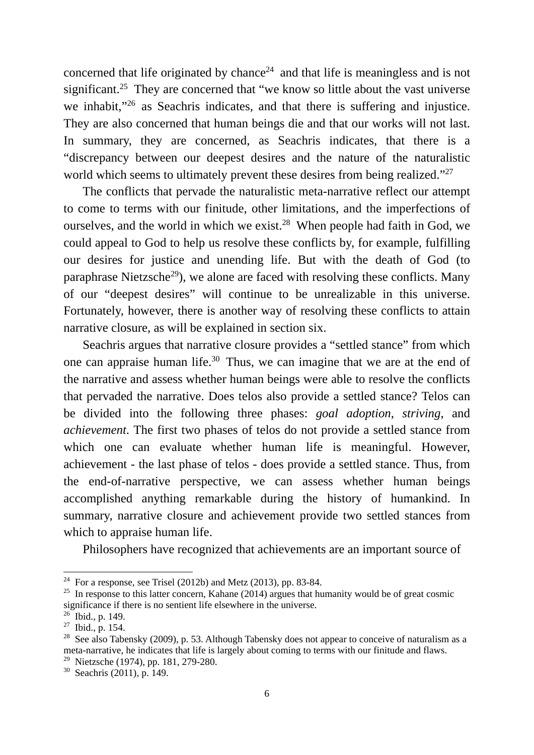concerned that life originated by chance<sup>24</sup> and that life is meaningless and is not significant.<sup>25</sup> They are concerned that "we know so little about the vast universe we inhabit,"26 as Seachris indicates, and that there is suffering and injustice. They are also concerned that human beings die and that our works will not last. In summary, they are concerned, as Seachris indicates, that there is a "discrepancy between our deepest desires and the nature of the naturalistic world which seems to ultimately prevent these desires from being realized."<sup>27</sup>

The conflicts that pervade the naturalistic meta-narrative reflect our attempt to come to terms with our finitude, other limitations, and the imperfections of ourselves, and the world in which we exist.<sup>28</sup> When people had faith in God, we could appeal to God to help us resolve these conflicts by, for example, fulfilling our desires for justice and unending life. But with the death of God (to paraphrase Nietzsche<sup>29</sup>), we alone are faced with resolving these conflicts. Many of our "deepest desires" will continue to be unrealizable in this universe. Fortunately, however, there is another way of resolving these conflicts to attain narrative closure, as will be explained in section six.

Seachris argues that narrative closure provides a "settled stance" from which one can appraise human life.<sup>30</sup> Thus, we can imagine that we are at the end of the narrative and assess whether human beings were able to resolve the conflicts that pervaded the narrative. Does telos also provide a settled stance? Telos can be divided into the following three phases: *goal adoption*, *striving*, and *achievement*. The first two phases of telos do not provide a settled stance from which one can evaluate whether human life is meaningful. However, achievement - the last phase of telos - does provide a settled stance. Thus, from the end-of-narrative perspective, we can assess whether human beings accomplished anything remarkable during the history of humankind. In summary, narrative closure and achievement provide two settled stances from which to appraise human life.

Philosophers have recognized that achievements are an important source of

-

<sup>&</sup>lt;sup>24</sup> For a response, see Trisel (2012b) and Metz (2013), pp. 83-84.

<sup>&</sup>lt;sup>25</sup> In response to this latter concern, Kahane (2014) argues that humanity would be of great cosmic significance if there is no sentient life elsewhere in the universe.

 $26$  Ibid., p. 149.

 $27$  Ibid., p. 154.

<sup>&</sup>lt;sup>28</sup> See also Tabensky (2009), p. 53. Although Tabensky does not appear to conceive of naturalism as a meta-narrative, he indicates that life is largely about coming to terms with our finitude and flaws. <sup>29</sup> Nietzsche (1974), pp. 181, 279-280.

<sup>30</sup> Seachris (2011), p. 149.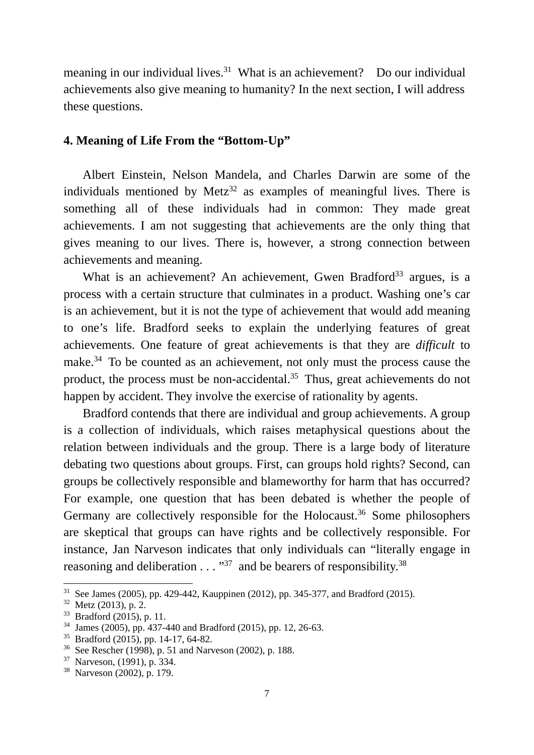meaning in our individual lives.<sup>31</sup> What is an achievement? Do our individual achievements also give meaning to humanity? In the next section, I will address these questions.

# **4. Meaning of Life From the "Bottom-Up"**

Albert Einstein, Nelson Mandela, and Charles Darwin are some of the individuals mentioned by Metz<sup>32</sup> as examples of meaningful lives. There is something all of these individuals had in common: They made great achievements. I am not suggesting that achievements are the only thing that gives meaning to our lives. There is, however, a strong connection between achievements and meaning.

What is an achievement? An achievement, Gwen Bradford<sup>33</sup> argues, is a process with a certain structure that culminates in a product. Washing one's car is an achievement, but it is not the type of achievement that would add meaning to one's life. Bradford seeks to explain the underlying features of great achievements. One feature of great achievements is that they are *difficult* to make.34 To be counted as an achievement, not only must the process cause the product, the process must be non-accidental.35 Thus, great achievements do not happen by accident. They involve the exercise of rationality by agents.

Bradford contends that there are individual and group achievements. A group is a collection of individuals, which raises metaphysical questions about the relation between individuals and the group. There is a large body of literature debating two questions about groups. First, can groups hold rights? Second, can groups be collectively responsible and blameworthy for harm that has occurred? For example, one question that has been debated is whether the people of Germany are collectively responsible for the Holocaust.<sup>36</sup> Some philosophers are skeptical that groups can have rights and be collectively responsible. For instance, Jan Narveson indicates that only individuals can "literally engage in reasoning and deliberation  $\dots$ <sup>37</sup> and be bearers of responsibility.<sup>38</sup>

<sup>&</sup>lt;sup>31</sup> See James (2005), pp. 429-442, Kauppinen (2012), pp. 345-377, and Bradford (2015).

 $32$  Metz (2013), p. 2.

<sup>33</sup> Bradford (2015), p. 11.

<sup>34</sup> James (2005), pp. 437-440 and Bradford (2015), pp. 12, 26-63.

 $35$  Bradford (2015), pp. 14-17, 64-82.

<sup>36</sup> See Rescher (1998), p. 51 and Narveson (2002), p. 188.

<sup>37</sup> Narveson, (1991), p. 334.

<sup>38</sup> Narveson (2002), p. 179.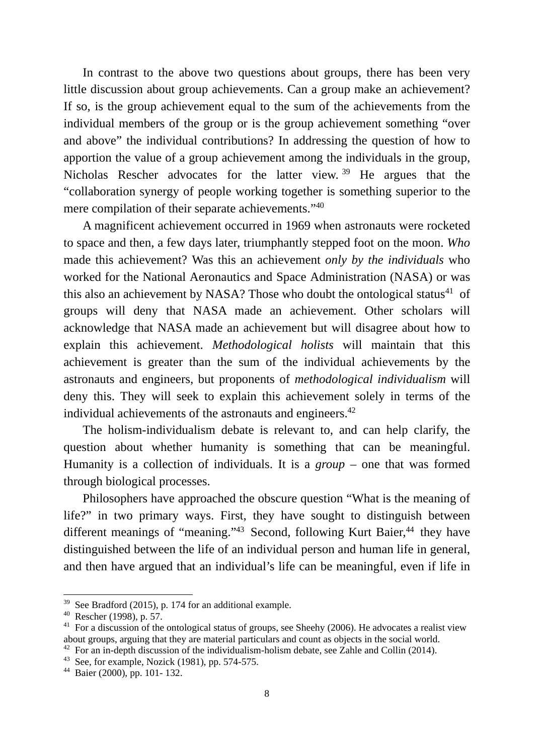In contrast to the above two questions about groups, there has been very little discussion about group achievements. Can a group make an achievement? If so, is the group achievement equal to the sum of the achievements from the individual members of the group or is the group achievement something "over and above" the individual contributions? In addressing the question of how to apportion the value of a group achievement among the individuals in the group, Nicholas Rescher advocates for the latter view. 39 He argues that the "collaboration synergy of people working together is something superior to the mere compilation of their separate achievements."40

A magnificent achievement occurred in 1969 when astronauts were rocketed to space and then, a few days later, triumphantly stepped foot on the moon. *Who* made this achievement? Was this an achievement *only by the individuals* who worked for the National Aeronautics and Space Administration (NASA) or was this also an achievement by NASA? Those who doubt the ontological status<sup>41</sup> of groups will deny that NASA made an achievement. Other scholars will acknowledge that NASA made an achievement but will disagree about how to explain this achievement. *Methodological holists* will maintain that this achievement is greater than the sum of the individual achievements by the astronauts and engineers, but proponents of *methodological individualism* will deny this. They will seek to explain this achievement solely in terms of the individual achievements of the astronauts and engineers.<sup>42</sup>

The holism-individualism debate is relevant to, and can help clarify, the question about whether humanity is something that can be meaningful. Humanity is a collection of individuals. It is a *group –* one that was formed through biological processes.

Philosophers have approached the obscure question "What is the meaning of life?" in two primary ways. First, they have sought to distinguish between different meanings of "meaning."<sup>43</sup> Second, following Kurt Baier,<sup>44</sup> they have distinguished between the life of an individual person and human life in general, and then have argued that an individual's life can be meaningful, even if life in

<sup>39</sup> See Bradford (2015), p. 174 for an additional example.

<sup>40</sup> Rescher (1998), p. 57.

<sup>&</sup>lt;sup>41</sup> For a discussion of the ontological status of groups, see Sheehy (2006). He advocates a realist view about groups, arguing that they are material particulars and count as objects in the social world.

 $42$  For an in-depth discussion of the individualism-holism debate, see Zahle and Collin (2014).

<sup>&</sup>lt;sup>43</sup> See, for example, Nozick (1981), pp. 574-575.

<sup>44</sup> Baier (2000), pp. 101- 132.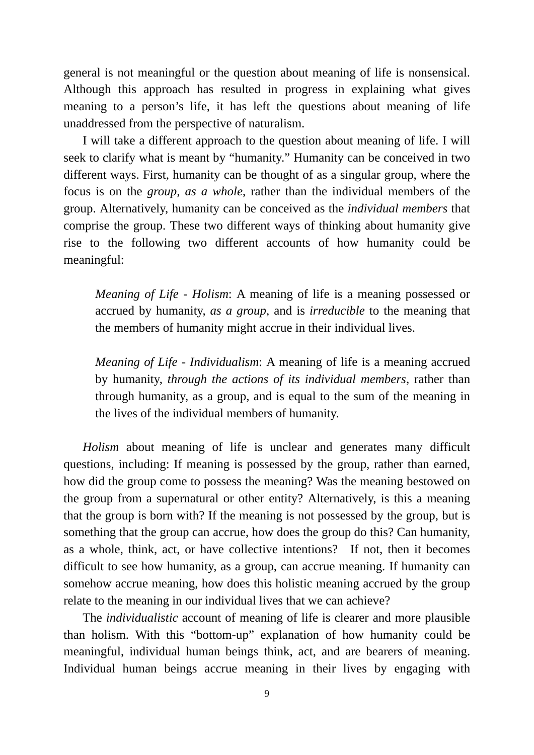general is not meaningful or the question about meaning of life is nonsensical. Although this approach has resulted in progress in explaining what gives meaning to a person's life, it has left the questions about meaning of life unaddressed from the perspective of naturalism.

I will take a different approach to the question about meaning of life. I will seek to clarify what is meant by "humanity." Humanity can be conceived in two different ways. First, humanity can be thought of as a singular group, where the focus is on the *group, as a whole*, rather than the individual members of the group. Alternatively, humanity can be conceived as the *individual members* that comprise the group. These two different ways of thinking about humanity give rise to the following two different accounts of how humanity could be meaningful:

*Meaning of Life - Holism*: A meaning of life is a meaning possessed or accrued by humanity, *as a group*, and is *irreducible* to the meaning that the members of humanity might accrue in their individual lives.

*Meaning of Life - Individualism*: A meaning of life is a meaning accrued by humanity, *through the actions of its individual members*, rather than through humanity, as a group, and is equal to the sum of the meaning in the lives of the individual members of humanity.

*Holism* about meaning of life is unclear and generates many difficult questions, including: If meaning is possessed by the group, rather than earned, how did the group come to possess the meaning? Was the meaning bestowed on the group from a supernatural or other entity? Alternatively, is this a meaning that the group is born with? If the meaning is not possessed by the group, but is something that the group can accrue, how does the group do this? Can humanity, as a whole, think, act, or have collective intentions? If not, then it becomes difficult to see how humanity, as a group, can accrue meaning. If humanity can somehow accrue meaning, how does this holistic meaning accrued by the group relate to the meaning in our individual lives that we can achieve?

The *individualistic* account of meaning of life is clearer and more plausible than holism. With this "bottom-up" explanation of how humanity could be meaningful, individual human beings think, act, and are bearers of meaning. Individual human beings accrue meaning in their lives by engaging with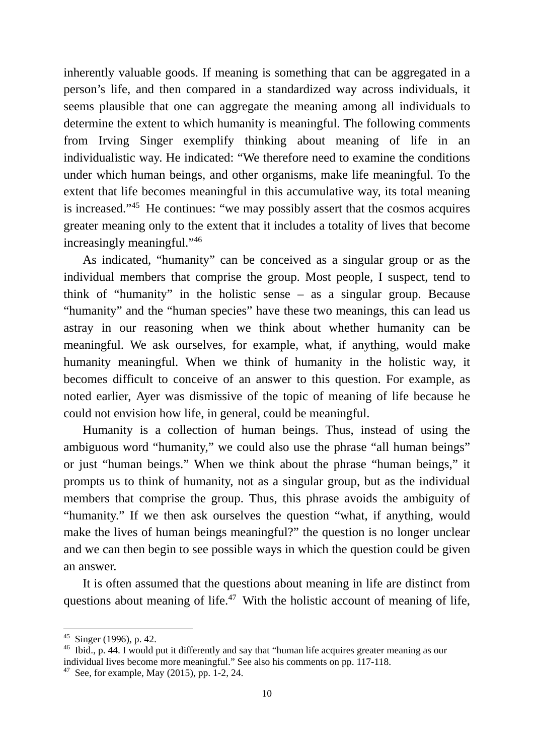inherently valuable goods. If meaning is something that can be aggregated in a person's life, and then compared in a standardized way across individuals, it seems plausible that one can aggregate the meaning among all individuals to determine the extent to which humanity is meaningful. The following comments from Irving Singer exemplify thinking about meaning of life in an individualistic way. He indicated: "We therefore need to examine the conditions under which human beings, and other organisms, make life meaningful. To the extent that life becomes meaningful in this accumulative way, its total meaning is increased."45 He continues: "we may possibly assert that the cosmos acquires greater meaning only to the extent that it includes a totality of lives that become increasingly meaningful."46

As indicated, "humanity" can be conceived as a singular group or as the individual members that comprise the group. Most people, I suspect, tend to think of "humanity" in the holistic sense – as a singular group. Because "humanity" and the "human species" have these two meanings, this can lead us astray in our reasoning when we think about whether humanity can be meaningful. We ask ourselves, for example, what, if anything, would make humanity meaningful. When we think of humanity in the holistic way, it becomes difficult to conceive of an answer to this question. For example, as noted earlier, Ayer was dismissive of the topic of meaning of life because he could not envision how life, in general, could be meaningful.

Humanity is a collection of human beings. Thus, instead of using the ambiguous word "humanity," we could also use the phrase "all human beings" or just "human beings." When we think about the phrase "human beings," it prompts us to think of humanity, not as a singular group, but as the individual members that comprise the group. Thus, this phrase avoids the ambiguity of "humanity." If we then ask ourselves the question "what, if anything, would make the lives of human beings meaningful?" the question is no longer unclear and we can then begin to see possible ways in which the question could be given an answer.

It is often assumed that the questions about meaning in life are distinct from questions about meaning of life.<sup>47</sup> With the holistic account of meaning of life,

 $45$  Singer (1996), p. 42.

<sup>46</sup> Ibid., p. 44. I would put it differently and say that "human life acquires greater meaning as our individual lives become more meaningful." See also his comments on pp. 117-118.

<sup>&</sup>lt;sup>47</sup> See, for example, May  $(2015)$ , pp. 1-2, 24.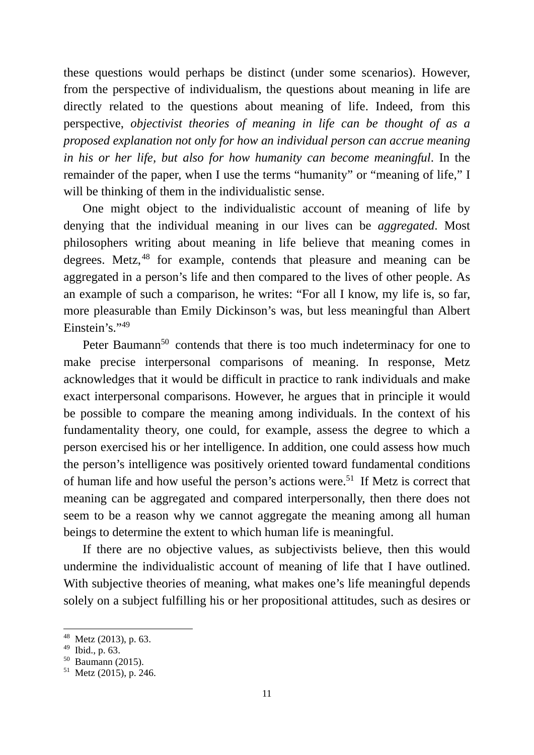these questions would perhaps be distinct (under some scenarios). However, from the perspective of individualism, the questions about meaning in life are directly related to the questions about meaning of life. Indeed, from this perspective, *objectivist theories of meaning in life can be thought of as a proposed explanation not only for how an individual person can accrue meaning in his or her life, but also for how humanity can become meaningful*. In the remainder of the paper, when I use the terms "humanity" or "meaning of life," I will be thinking of them in the individualistic sense.

One might object to the individualistic account of meaning of life by denying that the individual meaning in our lives can be *aggregated*. Most philosophers writing about meaning in life believe that meaning comes in degrees. Metz,<sup>48</sup> for example, contends that pleasure and meaning can be aggregated in a person's life and then compared to the lives of other people. As an example of such a comparison, he writes: "For all I know, my life is, so far, more pleasurable than Emily Dickinson's was, but less meaningful than Albert Einstein's."49

Peter Baumann<sup>50</sup> contends that there is too much indeterminacy for one to make precise interpersonal comparisons of meaning. In response, Metz acknowledges that it would be difficult in practice to rank individuals and make exact interpersonal comparisons. However, he argues that in principle it would be possible to compare the meaning among individuals. In the context of his fundamentality theory, one could, for example, assess the degree to which a person exercised his or her intelligence. In addition, one could assess how much the person's intelligence was positively oriented toward fundamental conditions of human life and how useful the person's actions were.<sup>51</sup> If Metz is correct that meaning can be aggregated and compared interpersonally, then there does not seem to be a reason why we cannot aggregate the meaning among all human beings to determine the extent to which human life is meaningful.

If there are no objective values, as subjectivists believe, then this would undermine the individualistic account of meaning of life that I have outlined. With subjective theories of meaning, what makes one's life meaningful depends solely on a subject fulfilling his or her propositional attitudes, such as desires or

<sup>48</sup> Metz (2013), p. 63.

<sup>49</sup> Ibid., p. 63.

 $50$  Baumann (2015).

 $51$  Metz (2015), p. 246.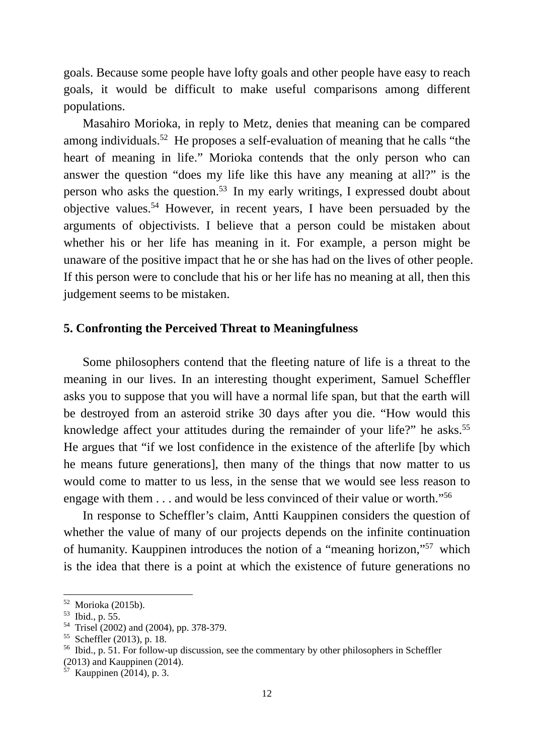goals. Because some people have lofty goals and other people have easy to reach goals, it would be difficult to make useful comparisons among different populations.

Masahiro Morioka, in reply to Metz, denies that meaning can be compared among individuals.52 He proposes a self-evaluation of meaning that he calls "the heart of meaning in life." Morioka contends that the only person who can answer the question "does my life like this have any meaning at all?" is the person who asks the question.53 In my early writings, I expressed doubt about objective values.54 However, in recent years, I have been persuaded by the arguments of objectivists. I believe that a person could be mistaken about whether his or her life has meaning in it. For example, a person might be unaware of the positive impact that he or she has had on the lives of other people. If this person were to conclude that his or her life has no meaning at all, then this judgement seems to be mistaken.

## **5. Confronting the Perceived Threat to Meaningfulness**

Some philosophers contend that the fleeting nature of life is a threat to the meaning in our lives. In an interesting thought experiment, Samuel Scheffler asks you to suppose that you will have a normal life span, but that the earth will be destroyed from an asteroid strike 30 days after you die. "How would this knowledge affect your attitudes during the remainder of your life?" he asks.<sup>55</sup> He argues that "if we lost confidence in the existence of the afterlife [by which he means future generations], then many of the things that now matter to us would come to matter to us less, in the sense that we would see less reason to engage with them . . . and would be less convinced of their value or worth."56

In response to Scheffler's claim, Antti Kauppinen considers the question of whether the value of many of our projects depends on the infinite continuation of humanity. Kauppinen introduces the notion of a "meaning horizon,"57 which is the idea that there is a point at which the existence of future generations no

<sup>52</sup> Morioka (2015b).

<sup>53</sup> Ibid., p. 55.

<sup>54</sup> Trisel (2002) and (2004), pp. 378-379.

<sup>55</sup> Scheffler (2013), p. 18.

<sup>56</sup> Ibid., p. 51. For follow-up discussion, see the commentary by other philosophers in Scheffler (2013) and Kauppinen (2014).

 $57$  Kauppinen (2014), p. 3.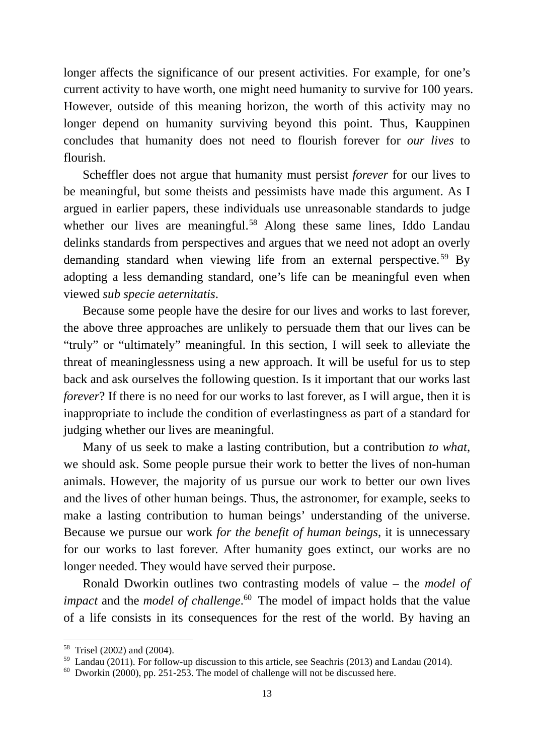longer affects the significance of our present activities. For example, for one's current activity to have worth, one might need humanity to survive for 100 years. However, outside of this meaning horizon, the worth of this activity may no longer depend on humanity surviving beyond this point. Thus, Kauppinen concludes that humanity does not need to flourish forever for *our lives* to flourish.

Scheffler does not argue that humanity must persist *forever* for our lives to be meaningful, but some theists and pessimists have made this argument. As I argued in earlier papers, these individuals use unreasonable standards to judge whether our lives are meaningful.<sup>58</sup> Along these same lines, Iddo Landau delinks standards from perspectives and argues that we need not adopt an overly demanding standard when viewing life from an external perspective.<sup>59</sup> By adopting a less demanding standard, one's life can be meaningful even when viewed *sub specie aeternitatis*.

Because some people have the desire for our lives and works to last forever, the above three approaches are unlikely to persuade them that our lives can be "truly" or "ultimately" meaningful. In this section, I will seek to alleviate the threat of meaninglessness using a new approach. It will be useful for us to step back and ask ourselves the following question. Is it important that our works last *forever*? If there is no need for our works to last forever, as I will argue, then it is inappropriate to include the condition of everlastingness as part of a standard for judging whether our lives are meaningful.

Many of us seek to make a lasting contribution, but a contribution *to what*, we should ask. Some people pursue their work to better the lives of non-human animals. However, the majority of us pursue our work to better our own lives and the lives of other human beings. Thus, the astronomer, for example, seeks to make a lasting contribution to human beings' understanding of the universe. Because we pursue our work *for the benefit of human beings*, it is unnecessary for our works to last forever. After humanity goes extinct, our works are no longer needed. They would have served their purpose.

Ronald Dworkin outlines two contrasting models of value – the *model of impact* and the *model of challenge*. 60 The model of impact holds that the value of a life consists in its consequences for the rest of the world. By having an

<sup>58</sup> Trisel (2002) and (2004).

 $59$  Landau (2011). For follow-up discussion to this article, see Seachris (2013) and Landau (2014).

 $60$  Dworkin (2000), pp. 251-253. The model of challenge will not be discussed here.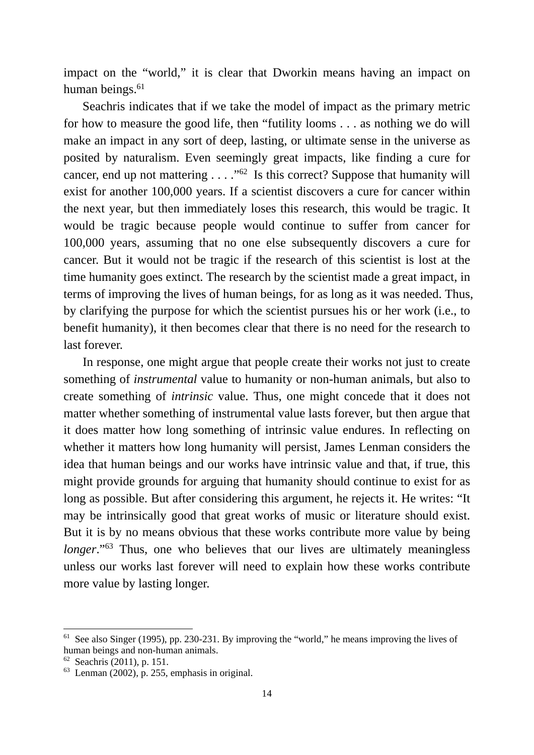impact on the "world," it is clear that Dworkin means having an impact on human beings.<sup>61</sup>

Seachris indicates that if we take the model of impact as the primary metric for how to measure the good life, then "futility looms . . . as nothing we do will make an impact in any sort of deep, lasting, or ultimate sense in the universe as posited by naturalism. Even seemingly great impacts, like finding a cure for cancer, end up not mattering  $\ldots$  ."<sup>62</sup> Is this correct? Suppose that humanity will exist for another 100,000 years. If a scientist discovers a cure for cancer within the next year, but then immediately loses this research, this would be tragic. It would be tragic because people would continue to suffer from cancer for 100,000 years, assuming that no one else subsequently discovers a cure for cancer. But it would not be tragic if the research of this scientist is lost at the time humanity goes extinct. The research by the scientist made a great impact, in terms of improving the lives of human beings, for as long as it was needed. Thus, by clarifying the purpose for which the scientist pursues his or her work (i.e., to benefit humanity), it then becomes clear that there is no need for the research to last forever.

In response, one might argue that people create their works not just to create something of *instrumental* value to humanity or non-human animals, but also to create something of *intrinsic* value. Thus, one might concede that it does not matter whether something of instrumental value lasts forever, but then argue that it does matter how long something of intrinsic value endures. In reflecting on whether it matters how long humanity will persist, James Lenman considers the idea that human beings and our works have intrinsic value and that, if true, this might provide grounds for arguing that humanity should continue to exist for as long as possible. But after considering this argument, he rejects it. He writes: "It may be intrinsically good that great works of music or literature should exist. But it is by no means obvious that these works contribute more value by being *longer.*"<sup>63</sup> Thus, one who believes that our lives are ultimately meaningless unless our works last forever will need to explain how these works contribute more value by lasting longer.

 $61$  See also Singer (1995), pp. 230-231. By improving the "world," he means improving the lives of human beings and non-human animals.

 $62$  Seachris (2011), p. 151.

 $^{63}$  Lenman (2002), p. 255, emphasis in original.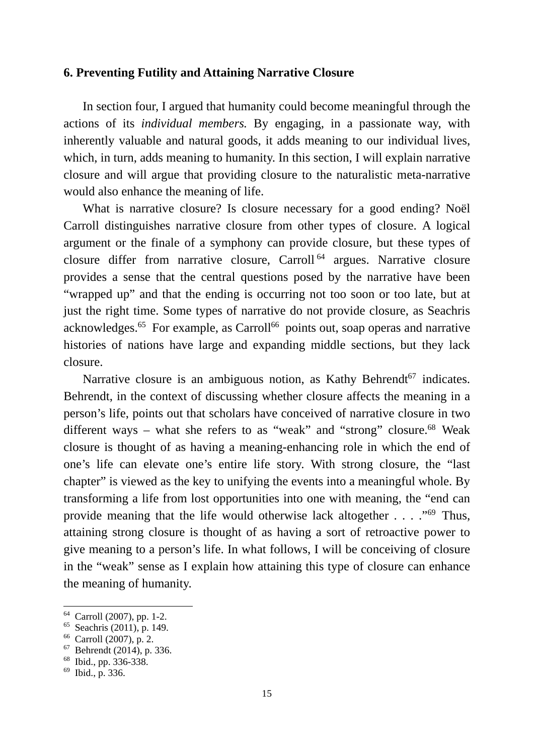## **6. Preventing Futility and Attaining Narrative Closure**

In section four, I argued that humanity could become meaningful through the actions of its *individual members.* By engaging, in a passionate way, with inherently valuable and natural goods, it adds meaning to our individual lives, which, in turn, adds meaning to humanity. In this section, I will explain narrative closure and will argue that providing closure to the naturalistic meta-narrative would also enhance the meaning of life.

What is narrative closure? Is closure necessary for a good ending? Noël Carroll distinguishes narrative closure from other types of closure. A logical argument or the finale of a symphony can provide closure, but these types of closure differ from narrative closure, Carroll 64 argues. Narrative closure provides a sense that the central questions posed by the narrative have been "wrapped up" and that the ending is occurring not too soon or too late, but at just the right time. Some types of narrative do not provide closure, as Seachris acknowledges.<sup>65</sup> For example, as Carroll<sup>66</sup> points out, soap operas and narrative histories of nations have large and expanding middle sections, but they lack closure.

Narrative closure is an ambiguous notion, as Kathy Behrendt<sup>67</sup> indicates. Behrendt, in the context of discussing whether closure affects the meaning in a person's life, points out that scholars have conceived of narrative closure in two different ways – what she refers to as "weak" and "strong" closure.<sup>68</sup> Weak closure is thought of as having a meaning-enhancing role in which the end of one's life can elevate one's entire life story. With strong closure, the "last chapter" is viewed as the key to unifying the events into a meaningful whole. By transforming a life from lost opportunities into one with meaning, the "end can provide meaning that the life would otherwise lack altogether  $\dots$  . . . . . . . . . . . Thus, attaining strong closure is thought of as having a sort of retroactive power to give meaning to a person's life. In what follows, I will be conceiving of closure in the "weak" sense as I explain how attaining this type of closure can enhance the meaning of humanity.

<sup>64</sup> Carroll (2007), pp. 1-2.

<sup>65</sup> Seachris (2011), p. 149.

<sup>66</sup> Carroll (2007), p. 2.

 $67$  Behrendt (2014), p. 336.

<sup>68</sup> Ibid., pp. 336-338.

 $^{69}$  Ibid., p. 336.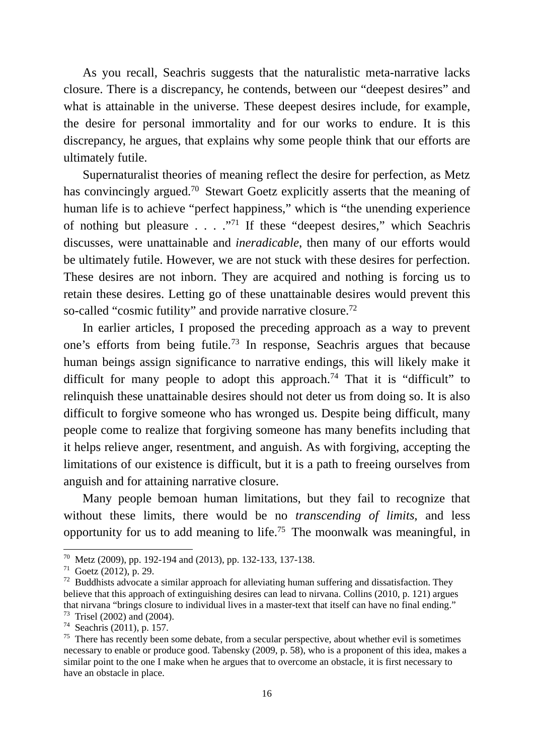As you recall, Seachris suggests that the naturalistic meta-narrative lacks closure. There is a discrepancy, he contends, between our "deepest desires" and what is attainable in the universe. These deepest desires include, for example, the desire for personal immortality and for our works to endure. It is this discrepancy, he argues, that explains why some people think that our efforts are ultimately futile.

Supernaturalist theories of meaning reflect the desire for perfection, as Metz has convincingly argued.<sup>70</sup> Stewart Goetz explicitly asserts that the meaning of human life is to achieve "perfect happiness," which is "the unending experience of nothing but pleasure . . . ."71 If these "deepest desires," which Seachris discusses, were unattainable and *ineradicable*, then many of our efforts would be ultimately futile. However, we are not stuck with these desires for perfection. These desires are not inborn. They are acquired and nothing is forcing us to retain these desires. Letting go of these unattainable desires would prevent this so-called "cosmic futility" and provide narrative closure.<sup>72</sup>

In earlier articles, I proposed the preceding approach as a way to prevent one's efforts from being futile.73 In response, Seachris argues that because human beings assign significance to narrative endings, this will likely make it difficult for many people to adopt this approach.<sup>74</sup> That it is "difficult" to relinquish these unattainable desires should not deter us from doing so. It is also difficult to forgive someone who has wronged us. Despite being difficult, many people come to realize that forgiving someone has many benefits including that it helps relieve anger, resentment, and anguish. As with forgiving, accepting the limitations of our existence is difficult, but it is a path to freeing ourselves from anguish and for attaining narrative closure.

Many people bemoan human limitations, but they fail to recognize that without these limits, there would be no *transcending of limits*, and less opportunity for us to add meaning to life.<sup>75</sup> The moonwalk was meaningful, in

<sup>70</sup> Metz (2009), pp. 192-194 and (2013), pp. 132-133, 137-138.

 $71$  Goetz (2012), p. 29.

 $72$  Buddhists advocate a similar approach for alleviating human suffering and dissatisfaction. They believe that this approach of extinguishing desires can lead to nirvana. Collins (2010, p. 121) argues that nirvana "brings closure to individual lives in a master-text that itself can have no final ending."

<sup>73</sup> Trisel (2002) and (2004).

<sup>74</sup> Seachris (2011), p. 157.

<sup>&</sup>lt;sup>75</sup> There has recently been some debate, from a secular perspective, about whether evil is sometimes necessary to enable or produce good. Tabensky (2009, p. 58), who is a proponent of this idea, makes a similar point to the one I make when he argues that to overcome an obstacle, it is first necessary to have an obstacle in place.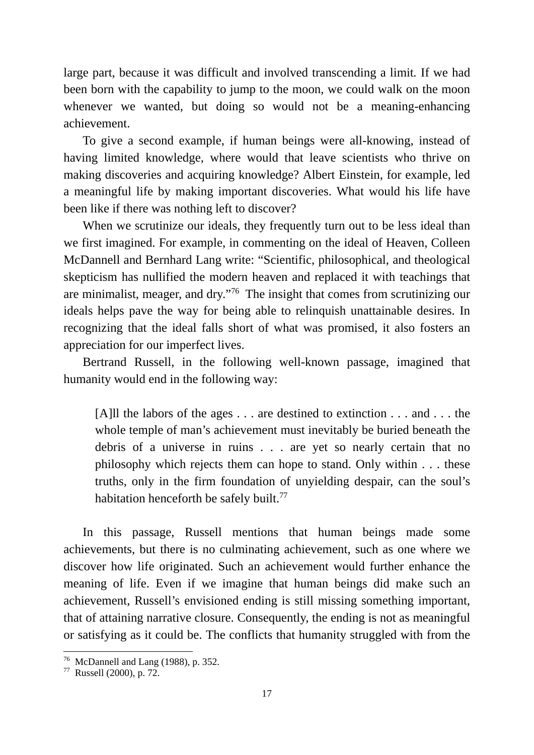large part, because it was difficult and involved transcending a limit*.* If we had been born with the capability to jump to the moon, we could walk on the moon whenever we wanted, but doing so would not be a meaning-enhancing achievement.

To give a second example, if human beings were all-knowing, instead of having limited knowledge, where would that leave scientists who thrive on making discoveries and acquiring knowledge? Albert Einstein, for example, led a meaningful life by making important discoveries. What would his life have been like if there was nothing left to discover?

When we scrutinize our ideals, they frequently turn out to be less ideal than we first imagined. For example, in commenting on the ideal of Heaven, Colleen McDannell and Bernhard Lang write: "Scientific, philosophical, and theological skepticism has nullified the modern heaven and replaced it with teachings that are minimalist, meager, and dry."76 The insight that comes from scrutinizing our ideals helps pave the way for being able to relinquish unattainable desires. In recognizing that the ideal falls short of what was promised, it also fosters an appreciation for our imperfect lives.

Bertrand Russell, in the following well-known passage, imagined that humanity would end in the following way:

[A]ll the labors of the ages . . . are destined to extinction . . . and . . . the whole temple of man's achievement must inevitably be buried beneath the debris of a universe in ruins . . . are yet so nearly certain that no philosophy which rejects them can hope to stand. Only within . . . these truths, only in the firm foundation of unyielding despair, can the soul's habitation henceforth be safely built.<sup>77</sup>

In this passage, Russell mentions that human beings made some achievements, but there is no culminating achievement, such as one where we discover how life originated. Such an achievement would further enhance the meaning of life. Even if we imagine that human beings did make such an achievement, Russell's envisioned ending is still missing something important, that of attaining narrative closure. Consequently, the ending is not as meaningful or satisfying as it could be. The conflicts that humanity struggled with from the

<sup>76</sup> McDannell and Lang (1988), p. 352.

<sup>77</sup> Russell (2000), p. 72.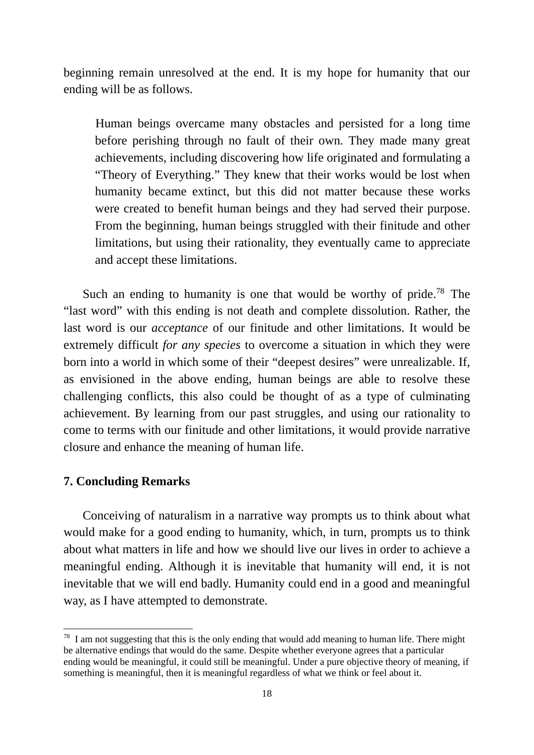beginning remain unresolved at the end. It is my hope for humanity that our ending will be as follows.

Human beings overcame many obstacles and persisted for a long time before perishing through no fault of their own. They made many great achievements, including discovering how life originated and formulating a "Theory of Everything." They knew that their works would be lost when humanity became extinct, but this did not matter because these works were created to benefit human beings and they had served their purpose. From the beginning, human beings struggled with their finitude and other limitations, but using their rationality, they eventually came to appreciate and accept these limitations.

Such an ending to humanity is one that would be worthy of pride.<sup>78</sup> The "last word" with this ending is not death and complete dissolution. Rather, the last word is our *acceptance* of our finitude and other limitations. It would be extremely difficult *for any species* to overcome a situation in which they were born into a world in which some of their "deepest desires" were unrealizable. If, as envisioned in the above ending, human beings are able to resolve these challenging conflicts, this also could be thought of as a type of culminating achievement. By learning from our past struggles, and using our rationality to come to terms with our finitude and other limitations, it would provide narrative closure and enhance the meaning of human life.

# **7. Concluding Remarks**

1

Conceiving of naturalism in a narrative way prompts us to think about what would make for a good ending to humanity, which, in turn, prompts us to think about what matters in life and how we should live our lives in order to achieve a meaningful ending. Although it is inevitable that humanity will end, it is not inevitable that we will end badly. Humanity could end in a good and meaningful way, as I have attempted to demonstrate.

 $78$  I am not suggesting that this is the only ending that would add meaning to human life. There might be alternative endings that would do the same. Despite whether everyone agrees that a particular ending would be meaningful, it could still be meaningful. Under a pure objective theory of meaning, if something is meaningful, then it is meaningful regardless of what we think or feel about it.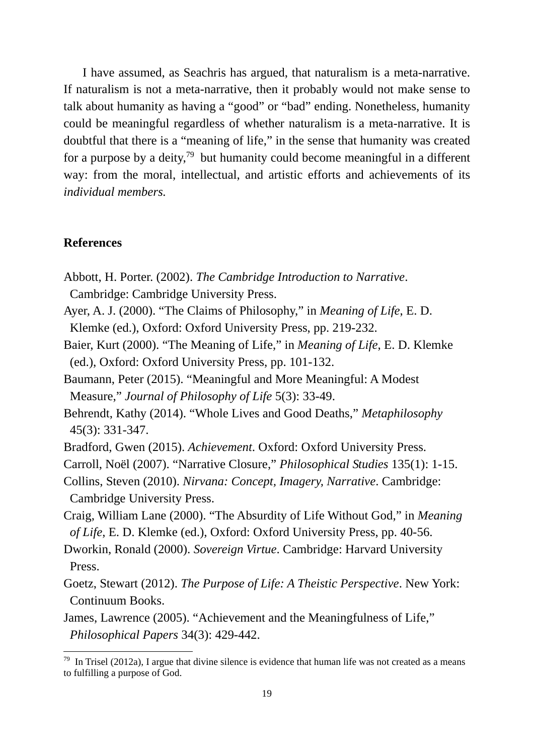I have assumed, as Seachris has argued, that naturalism is a meta-narrative. If naturalism is not a meta-narrative, then it probably would not make sense to talk about humanity as having a "good" or "bad" ending. Nonetheless, humanity could be meaningful regardless of whether naturalism is a meta-narrative. It is doubtful that there is a "meaning of life," in the sense that humanity was created for a purpose by a deity,<sup>79</sup> but humanity could become meaningful in a different way: from the moral, intellectual, and artistic efforts and achievements of its *individual members.* 

# **References**

- Abbott, H. Porter. (2002). *The Cambridge Introduction to Narrative*. Cambridge: Cambridge University Press.
- Ayer, A. J. (2000). "The Claims of Philosophy," in *Meaning of Life*, E. D. Klemke (ed.), Oxford: Oxford University Press, pp. 219-232.
- Baier, Kurt (2000). "The Meaning of Life," in *Meaning of Life*, E. D. Klemke (ed.), Oxford: Oxford University Press, pp. 101-132.
- Baumann, Peter (2015). "Meaningful and More Meaningful: A Modest Measure," *Journal of Philosophy of Life* 5(3): 33-49.
- Behrendt, Kathy (2014). "Whole Lives and Good Deaths," *Metaphilosophy* 45(3): 331-347.
- Bradford, Gwen (2015). *Achievement*. Oxford: Oxford University Press.
- Carroll, Noël (2007). "Narrative Closure," *Philosophical Studies* 135(1): 1-15.
- Collins, Steven (2010). *Nirvana: Concept, Imagery, Narrative*. Cambridge: Cambridge University Press.
- Craig, William Lane (2000). "The Absurdity of Life Without God," in *Meaning of Life*, E. D. Klemke (ed.), Oxford: Oxford University Press, pp. 40-56.
- Dworkin, Ronald (2000). *Sovereign Virtue*. Cambridge: Harvard University Press.
- Goetz, Stewart (2012). *The Purpose of Life: A Theistic Perspective*. New York: Continuum Books.
- James, Lawrence (2005). "Achievement and the Meaningfulness of Life," *Philosophical Papers* 34(3): 429-442.

 $79$  In Trisel (2012a), I argue that divine silence is evidence that human life was not created as a means to fulfilling a purpose of God.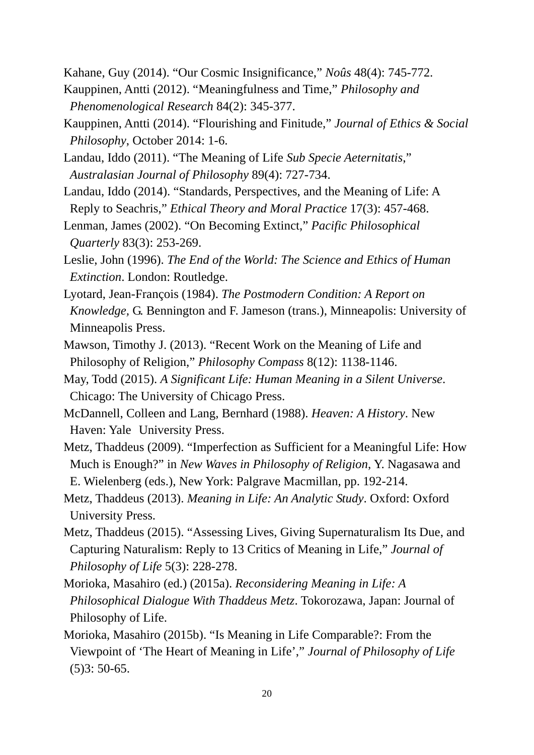Kahane, Guy (2014). "Our Cosmic Insignificance," *Noûs* 48(4): 745-772.

- Kauppinen, Antti (2012). "Meaningfulness and Time," *Philosophy and Phenomenological Research* 84(2): 345-377.
- Kauppinen, Antti (2014). "Flourishing and Finitude," *Journal of Ethics & Social Philosophy*, October 2014: 1-6.
- Landau, Iddo (2011). "The Meaning of Life *Sub Specie Aeternitatis*," *Australasian Journal of Philosophy* 89(4): 727-734.
- Landau, Iddo (2014). "Standards, Perspectives, and the Meaning of Life: A Reply to Seachris," *Ethical Theory and Moral Practice* 17(3): 457-468.
- Lenman, James (2002). "On Becoming Extinct," *Pacific Philosophical Quarterly* 83(3): 253-269.
- Leslie, John (1996). *The End of the World: The Science and Ethics of Human Extinction*. London: Routledge.
- Lyotard, Jean-François (1984). *The Postmodern Condition: A Report on Knowledge,* G. Bennington and F. Jameson (trans.), Minneapolis: University of Minneapolis Press.
- Mawson, Timothy J. (2013). "Recent Work on the Meaning of Life and Philosophy of Religion," *Philosophy Compass* 8(12): 1138-1146.
- May, Todd (2015). *A Significant Life: Human Meaning in a Silent Universe*. Chicago: The University of Chicago Press.
- McDannell, Colleen and Lang, Bernhard (1988). *Heaven: A History*. New Haven: Yale University Press.
- Metz, Thaddeus (2009). "Imperfection as Sufficient for a Meaningful Life: How Much is Enough?" in *New Waves in Philosophy of Religion*, Y. Nagasawa and E. Wielenberg (eds.), New York: Palgrave Macmillan, pp. 192-214.
- Metz, Thaddeus (2013). *Meaning in Life: An Analytic Study*. Oxford: Oxford University Press.
- Metz, Thaddeus (2015). "Assessing Lives, Giving Supernaturalism Its Due, and Capturing Naturalism: Reply to 13 Critics of Meaning in Life," *Journal of Philosophy of Life* 5(3): 228-278.
- Morioka, Masahiro (ed.) (2015a). *Reconsidering Meaning in Life: A Philosophical Dialogue With Thaddeus Metz*. Tokorozawa, Japan: Journal of Philosophy of Life.
- Morioka, Masahiro (2015b). "Is Meaning in Life Comparable?: From the Viewpoint of 'The Heart of Meaning in Life'," *Journal of Philosophy of Life* (5)3: 50-65.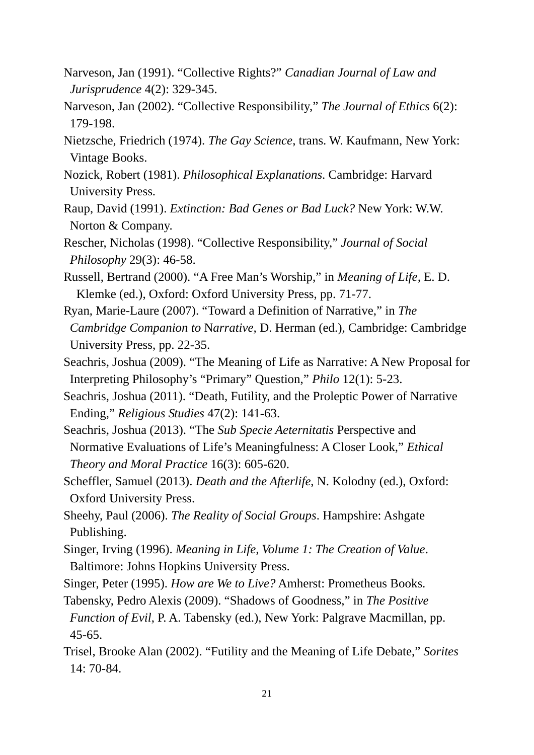- Narveson, Jan (1991). "Collective Rights?" *Canadian Journal of Law and Jurisprudence* 4(2): 329-345.
- Narveson, Jan (2002). "Collective Responsibility," *The Journal of Ethics* 6(2): 179-198.
- Nietzsche, Friedrich (1974). *The Gay Science*, trans. W. Kaufmann, New York: Vintage Books.
- Nozick, Robert (1981). *Philosophical Explanations*. Cambridge: Harvard University Press.
- Raup, David (1991). *Extinction: Bad Genes or Bad Luck?* New York: W.W. Norton & Company.
- Rescher, Nicholas (1998). "Collective Responsibility," *Journal of Social Philosophy* 29(3): 46-58.
- Russell, Bertrand (2000). "A Free Man's Worship," in *Meaning of Life,* E. D. Klemke (ed.), Oxford: Oxford University Press, pp. 71-77.
- Ryan, Marie-Laure (2007). "Toward a Definition of Narrative," in *The Cambridge Companion to* N*arrative,* D. Herman (ed.), Cambridge: Cambridge University Press, pp. 22-35.
- Seachris, Joshua (2009). "The Meaning of Life as Narrative: A New Proposal for Interpreting Philosophy's "Primary" Question," *Philo* 12(1): 5-23.
- Seachris, Joshua (2011). "Death, Futility, and the Proleptic Power of Narrative Ending," *Religious Studies* 47(2): 141-63.
- Seachris, Joshua (2013). "The *Sub Specie Aeternitatis* Perspective and Normative Evaluations of Life's Meaningfulness: A Closer Look," *Ethical Theory and Moral Practice* 16(3): 605-620.
- Scheffler, Samuel (2013). *Death and the Afterlife*, N. Kolodny (ed.), Oxford: Oxford University Press.
- Sheehy, Paul (2006). *The Reality of Social Groups*. Hampshire: Ashgate Publishing.
- Singer, Irving (1996). *Meaning in Life, Volume 1: The Creation of Value*. Baltimore: Johns Hopkins University Press.
- Singer, Peter (1995). *How are We to Live?* Amherst: Prometheus Books.
- Tabensky, Pedro Alexis (2009). "Shadows of Goodness," in *The Positive Function of Evil*, P. A. Tabensky (ed.), New York: Palgrave Macmillan, pp. 45-65.
- Trisel, Brooke Alan (2002). "Futility and the Meaning of Life Debate," *Sorites* 14: 70-84.